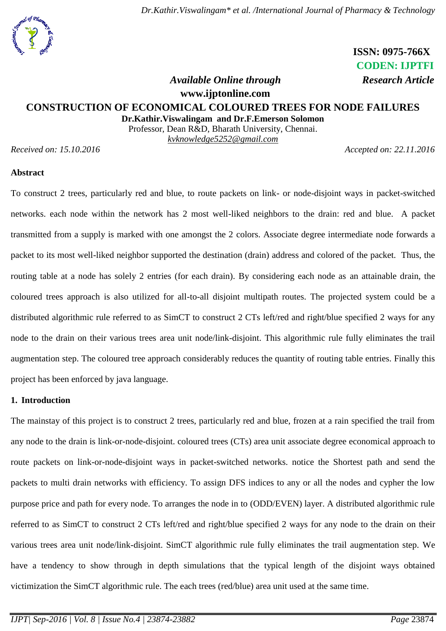# **ISSN: 0975-766X CODEN: IJPTFI**

# *Available Online through* Research Article

**www.ijptonline.com**

# **CONSTRUCTION OF ECONOMICAL COLOURED TREES FOR NODE FAILURES**

**Dr.Kathir.Viswalingam and Dr.F.Emerson Solomon**

Professor, Dean R&D, Bharath University, Chennai. *kvknowledge5252@gmail.com*

*Received on: 15.10.2016 Accepted on: 22.11.2016*

#### **Abstract**

To construct 2 trees, particularly red and blue, to route packets on link- or node-disjoint ways in packet-switched networks. each node within the network has 2 most well-liked neighbors to the drain: red and blue. A packet transmitted from a supply is marked with one amongst the 2 colors. Associate degree intermediate node forwards a packet to its most well-liked neighbor supported the destination (drain) address and colored of the packet. Thus, the routing table at a node has solely 2 entries (for each drain). By considering each node as an attainable drain, the coloured trees approach is also utilized for all-to-all disjoint multipath routes. The projected system could be a distributed algorithmic rule referred to as SimCT to construct 2 CTs left/red and right/blue specified 2 ways for any node to the drain on their various trees area unit node/link-disjoint. This algorithmic rule fully eliminates the trail augmentation step. The coloured tree approach considerably reduces the quantity of routing table entries. Finally this project has been enforced by java language.

## **1. Introduction**

The mainstay of this project is to construct 2 trees, particularly red and blue, frozen at a rain specified the trail from any node to the drain is link-or-node-disjoint. coloured trees (CTs) area unit associate degree economical approach to route packets on link-or-node-disjoint ways in packet-switched networks. notice the Shortest path and send the packets to multi drain networks with efficiency. To assign DFS indices to any or all the nodes and cypher the low purpose price and path for every node. To arranges the node in to (ODD/EVEN) layer. A distributed algorithmic rule referred to as SimCT to construct 2 CTs left/red and right/blue specified 2 ways for any node to the drain on their various trees area unit node/link-disjoint. SimCT algorithmic rule fully eliminates the trail augmentation step. We have a tendency to show through in depth simulations that the typical length of the disjoint ways obtained victimization the SimCT algorithmic rule. The each trees (red/blue) area unit used at the same time.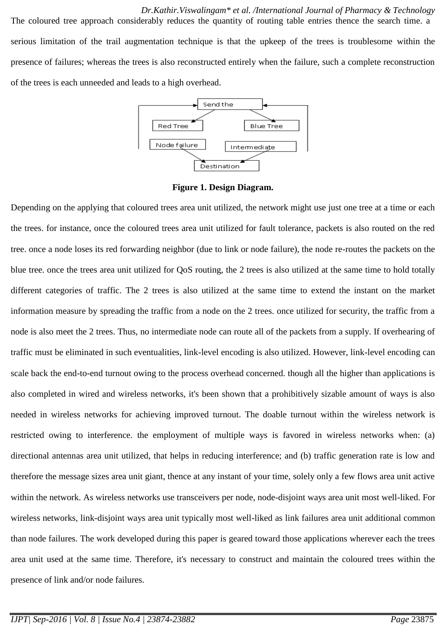*Dr.Kathir.Viswalingam\* et al. /International Journal of Pharmacy & Technology* The coloured tree approach considerably reduces the quantity of routing table entries thence the search time. a serious limitation of the trail augmentation technique is that the upkeep of the trees is troublesome within the presence of failures; whereas the trees is also reconstructed entirely when the failure, such a complete reconstruction of the trees is each unneeded and leads to a high overhead.



**Figure 1. Design Diagram.**

Depending on the applying that coloured trees area unit utilized, the network might use just one tree at a time or each the trees. for instance, once the coloured trees area unit utilized for fault tolerance, packets is also routed on the red tree. once a node loses its red forwarding neighbor (due to link or node failure), the node re-routes the packets on the blue tree. once the trees area unit utilized for QoS routing, the 2 trees is also utilized at the same time to hold totally different categories of traffic. The 2 trees is also utilized at the same time to extend the instant on the market information measure by spreading the traffic from a node on the 2 trees. once utilized for security, the traffic from a node is also meet the 2 trees. Thus, no intermediate node can route all of the packets from a supply. If overhearing of traffic must be eliminated in such eventualities, link-level encoding is also utilized. However, link-level encoding can scale back the end-to-end turnout owing to the process overhead concerned. though all the higher than applications is also completed in wired and wireless networks, it's been shown that a prohibitively sizable amount of ways is also needed in wireless networks for achieving improved turnout. The doable turnout within the wireless network is restricted owing to interference. the employment of multiple ways is favored in wireless networks when: (a) directional antennas area unit utilized, that helps in reducing interference; and (b) traffic generation rate is low and therefore the message sizes area unit giant, thence at any instant of your time, solely only a few flows area unit active within the network. As wireless networks use transceivers per node, node-disjoint ways area unit most well-liked. For wireless networks, link-disjoint ways area unit typically most well-liked as link failures area unit additional common than node failures. The work developed during this paper is geared toward those applications wherever each the trees area unit used at the same time. Therefore, it's necessary to construct and maintain the coloured trees within the presence of link and/or node failures.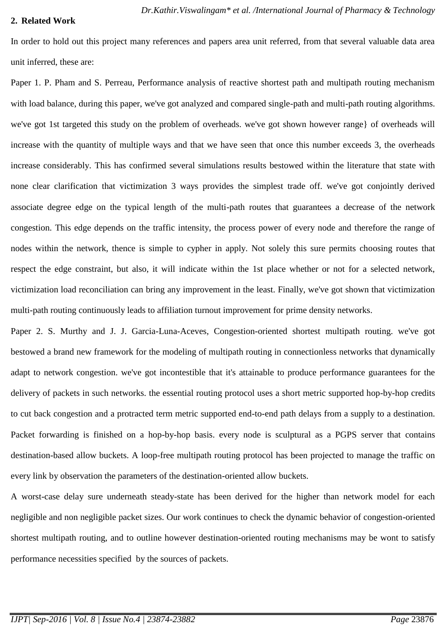#### **2. Related Work**

In order to hold out this project many references and papers area unit referred, from that several valuable data area unit inferred, these are:

Paper 1. P. Pham and S. Perreau, Performance analysis of reactive shortest path and multipath routing mechanism with load balance, during this paper, we've got analyzed and compared single-path and multi-path routing algorithms. we've got 1st targeted this study on the problem of overheads. we've got shown however range} of overheads will increase with the quantity of multiple ways and that we have seen that once this number exceeds 3, the overheads increase considerably. This has confirmed several simulations results bestowed within the literature that state with none clear clarification that victimization 3 ways provides the simplest trade off. we've got conjointly derived associate degree edge on the typical length of the multi-path routes that guarantees a decrease of the network congestion. This edge depends on the traffic intensity, the process power of every node and therefore the range of nodes within the network, thence is simple to cypher in apply. Not solely this sure permits choosing routes that respect the edge constraint, but also, it will indicate within the 1st place whether or not for a selected network, victimization load reconciliation can bring any improvement in the least. Finally, we've got shown that victimization multi-path routing continuously leads to affiliation turnout improvement for prime density networks.

Paper 2. S. Murthy and J. J. Garcia-Luna-Aceves, Congestion-oriented shortest multipath routing. we've got bestowed a brand new framework for the modeling of multipath routing in connectionless networks that dynamically adapt to network congestion. we've got incontestible that it's attainable to produce performance guarantees for the delivery of packets in such networks. the essential routing protocol uses a short metric supported hop-by-hop credits to cut back congestion and a protracted term metric supported end-to-end path delays from a supply to a destination. Packet forwarding is finished on a hop-by-hop basis. every node is sculptural as a PGPS server that contains destination-based allow buckets. A loop-free multipath routing protocol has been projected to manage the traffic on every link by observation the parameters of the destination-oriented allow buckets.

A worst-case delay sure underneath steady-state has been derived for the higher than network model for each negligible and non negligible packet sizes. Our work continues to check the dynamic behavior of congestion-oriented shortest multipath routing, and to outline however destination-oriented routing mechanisms may be wont to satisfy performance necessities specified by the sources of packets.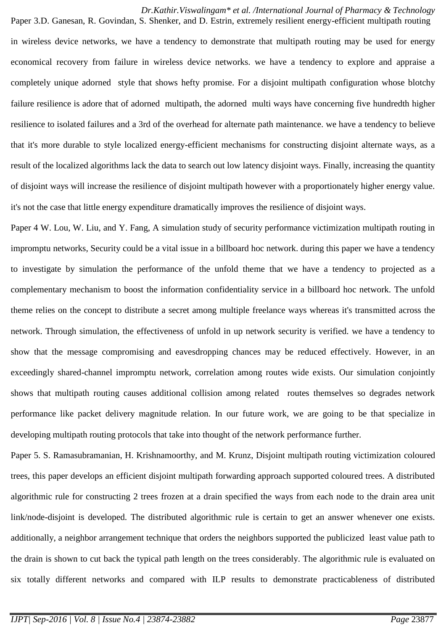#### *Dr.Kathir.Viswalingam\* et al. /International Journal of Pharmacy & Technology* Paper 3.D. Ganesan, R. Govindan, S. Shenker, and D. Estrin, extremely resilient energy-efficient multipath routing

in wireless device networks, we have a tendency to demonstrate that multipath routing may be used for energy economical recovery from failure in wireless device networks. we have a tendency to explore and appraise a completely unique adorned style that shows hefty promise. For a disjoint multipath configuration whose blotchy failure resilience is adore that of adorned multipath, the adorned multi ways have concerning five hundredth higher resilience to isolated failures and a 3rd of the overhead for alternate path maintenance. we have a tendency to believe that it's more durable to style localized energy-efficient mechanisms for constructing disjoint alternate ways, as a result of the localized algorithms lack the data to search out low latency disjoint ways. Finally, increasing the quantity of disjoint ways will increase the resilience of disjoint multipath however with a proportionately higher energy value. it's not the case that little energy expenditure dramatically improves the resilience of disjoint ways.

Paper 4 W. Lou, W. Liu, and Y. Fang, A simulation study of security performance victimization multipath routing in impromptu networks, Security could be a vital issue in a billboard hoc network. during this paper we have a tendency to investigate by simulation the performance of the unfold theme that we have a tendency to projected as a complementary mechanism to boost the information confidentiality service in a billboard hoc network. The unfold theme relies on the concept to distribute a secret among multiple freelance ways whereas it's transmitted across the network. Through simulation, the effectiveness of unfold in up network security is verified. we have a tendency to show that the message compromising and eavesdropping chances may be reduced effectively. However, in an exceedingly shared-channel impromptu network, correlation among routes wide exists. Our simulation conjointly shows that multipath routing causes additional collision among related routes themselves so degrades network performance like packet delivery magnitude relation. In our future work, we are going to be that specialize in developing multipath routing protocols that take into thought of the network performance further.

Paper 5. S. Ramasubramanian, H. Krishnamoorthy, and M. Krunz, Disjoint multipath routing victimization coloured trees, this paper develops an efficient disjoint multipath forwarding approach supported coloured trees. A distributed algorithmic rule for constructing 2 trees frozen at a drain specified the ways from each node to the drain area unit link/node-disjoint is developed. The distributed algorithmic rule is certain to get an answer whenever one exists. additionally, a neighbor arrangement technique that orders the neighbors supported the publicized least value path to the drain is shown to cut back the typical path length on the trees considerably. The algorithmic rule is evaluated on six totally different networks and compared with ILP results to demonstrate practicableness of distributed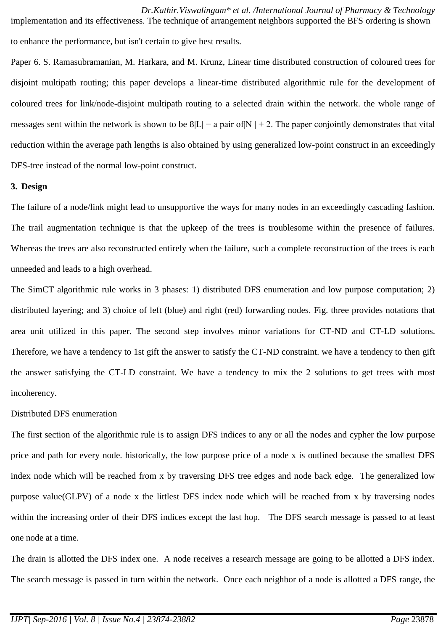*Dr.Kathir.Viswalingam\* et al. /International Journal of Pharmacy & Technology* implementation and its effectiveness. The technique of arrangement neighbors supported the BFS ordering is shown to enhance the performance, but isn't certain to give best results.

Paper 6. S. Ramasubramanian, M. Harkara, and M. Krunz, Linear time distributed construction of coloured trees for disjoint multipath routing; this paper develops a linear-time distributed algorithmic rule for the development of coloured trees for link/node-disjoint multipath routing to a selected drain within the network. the whole range of messages sent within the network is shown to be  $8|L|$  – a pair of N | + 2. The paper conjointly demonstrates that vital reduction within the average path lengths is also obtained by using generalized low-point construct in an exceedingly DFS-tree instead of the normal low-point construct.

## **3. Design**

The failure of a node/link might lead to unsupportive the ways for many nodes in an exceedingly cascading fashion. The trail augmentation technique is that the upkeep of the trees is troublesome within the presence of failures. Whereas the trees are also reconstructed entirely when the failure, such a complete reconstruction of the trees is each unneeded and leads to a high overhead.

The SimCT algorithmic rule works in 3 phases: 1) distributed DFS enumeration and low purpose computation; 2) distributed layering; and 3) choice of left (blue) and right (red) forwarding nodes. Fig. three provides notations that area unit utilized in this paper. The second step involves minor variations for CT-ND and CT-LD solutions. Therefore, we have a tendency to 1st gift the answer to satisfy the CT-ND constraint. we have a tendency to then gift the answer satisfying the CT-LD constraint. We have a tendency to mix the 2 solutions to get trees with most incoherency.

#### Distributed DFS enumeration

The first section of the algorithmic rule is to assign DFS indices to any or all the nodes and cypher the low purpose price and path for every node. historically, the low purpose price of a node x is outlined because the smallest DFS index node which will be reached from x by traversing DFS tree edges and node back edge. The generalized low purpose value(GLPV) of a node x the littlest DFS index node which will be reached from x by traversing nodes within the increasing order of their DFS indices except the last hop. The DFS search message is passed to at least one node at a time.

The drain is allotted the DFS index one. A node receives a research message are going to be allotted a DFS index. The search message is passed in turn within the network. Once each neighbor of a node is allotted a DFS range, the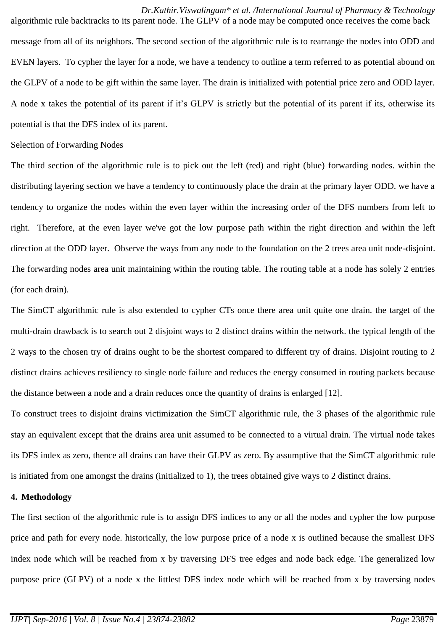*Dr.Kathir.Viswalingam\* et al. /International Journal of Pharmacy & Technology* algorithmic rule backtracks to its parent node. The GLPV of a node may be computed once receives the come back message from all of its neighbors. The second section of the algorithmic rule is to rearrange the nodes into ODD and EVEN layers. To cypher the layer for a node, we have a tendency to outline a term referred to as potential abound on the GLPV of a node to be gift within the same layer. The drain is initialized with potential price zero and ODD layer. A node x takes the potential of its parent if it's GLPV is strictly but the potential of its parent if its, otherwise its potential is that the DFS index of its parent.

#### Selection of Forwarding Nodes

The third section of the algorithmic rule is to pick out the left (red) and right (blue) forwarding nodes. within the distributing layering section we have a tendency to continuously place the drain at the primary layer ODD. we have a tendency to organize the nodes within the even layer within the increasing order of the DFS numbers from left to right. Therefore, at the even layer we've got the low purpose path within the right direction and within the left direction at the ODD layer. Observe the ways from any node to the foundation on the 2 trees area unit node-disjoint. The forwarding nodes area unit maintaining within the routing table. The routing table at a node has solely 2 entries (for each drain).

The SimCT algorithmic rule is also extended to cypher CTs once there area unit quite one drain. the target of the multi-drain drawback is to search out 2 disjoint ways to 2 distinct drains within the network. the typical length of the 2 ways to the chosen try of drains ought to be the shortest compared to different try of drains. Disjoint routing to 2 distinct drains achieves resiliency to single node failure and reduces the energy consumed in routing packets because the distance between a node and a drain reduces once the quantity of drains is enlarged [12].

To construct trees to disjoint drains victimization the SimCT algorithmic rule, the 3 phases of the algorithmic rule stay an equivalent except that the drains area unit assumed to be connected to a virtual drain. The virtual node takes its DFS index as zero, thence all drains can have their GLPV as zero. By assumptive that the SimCT algorithmic rule is initiated from one amongst the drains (initialized to 1), the trees obtained give ways to 2 distinct drains.

# **4. Methodology**

The first section of the algorithmic rule is to assign DFS indices to any or all the nodes and cypher the low purpose price and path for every node. historically, the low purpose price of a node x is outlined because the smallest DFS index node which will be reached from x by traversing DFS tree edges and node back edge. The generalized low purpose price (GLPV) of a node x the littlest DFS index node which will be reached from x by traversing nodes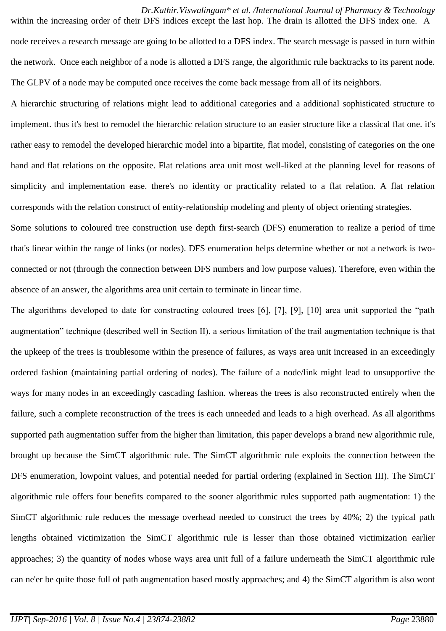*Dr.Kathir.Viswalingam\* et al. /International Journal of Pharmacy & Technology* within the increasing order of their DFS indices except the last hop. The drain is allotted the DFS index one. A node receives a research message are going to be allotted to a DFS index. The search message is passed in turn within the network. Once each neighbor of a node is allotted a DFS range, the algorithmic rule backtracks to its parent node. The GLPV of a node may be computed once receives the come back message from all of its neighbors.

A hierarchic structuring of relations might lead to additional categories and a additional sophisticated structure to implement. thus it's best to remodel the hierarchic relation structure to an easier structure like a classical flat one. it's rather easy to remodel the developed hierarchic model into a bipartite, flat model, consisting of categories on the one hand and flat relations on the opposite. Flat relations area unit most well-liked at the planning level for reasons of simplicity and implementation ease. there's no identity or practicality related to a flat relation. A flat relation corresponds with the relation construct of entity-relationship modeling and plenty of object orienting strategies.

Some solutions to coloured tree construction use depth first-search (DFS) enumeration to realize a period of time that's linear within the range of links (or nodes). DFS enumeration helps determine whether or not a network is twoconnected or not (through the connection between DFS numbers and low purpose values). Therefore, even within the absence of an answer, the algorithms area unit certain to terminate in linear time.

The algorithms developed to date for constructing coloured trees [6], [7], [9], [10] area unit supported the "path augmentation" technique (described well in Section II). a serious limitation of the trail augmentation technique is that the upkeep of the trees is troublesome within the presence of failures, as ways area unit increased in an exceedingly ordered fashion (maintaining partial ordering of nodes). The failure of a node/link might lead to unsupportive the ways for many nodes in an exceedingly cascading fashion. whereas the trees is also reconstructed entirely when the failure, such a complete reconstruction of the trees is each unneeded and leads to a high overhead. As all algorithms supported path augmentation suffer from the higher than limitation, this paper develops a brand new algorithmic rule, brought up because the SimCT algorithmic rule. The SimCT algorithmic rule exploits the connection between the DFS enumeration, lowpoint values, and potential needed for partial ordering (explained in Section III). The SimCT algorithmic rule offers four benefits compared to the sooner algorithmic rules supported path augmentation: 1) the SimCT algorithmic rule reduces the message overhead needed to construct the trees by 40%; 2) the typical path lengths obtained victimization the SimCT algorithmic rule is lesser than those obtained victimization earlier approaches; 3) the quantity of nodes whose ways area unit full of a failure underneath the SimCT algorithmic rule can ne'er be quite those full of path augmentation based mostly approaches; and 4) the SimCT algorithm is also wont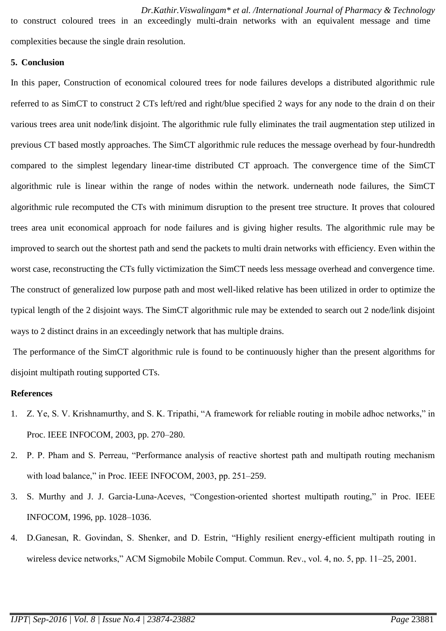to construct coloured trees in an exceedingly multi-drain networks with an equivalent message and time complexities because the single drain resolution.

# **5. Conclusion**

In this paper, Construction of economical coloured trees for node failures develops a distributed algorithmic rule referred to as SimCT to construct 2 CTs left/red and right/blue specified 2 ways for any node to the drain d on their various trees area unit node/link disjoint. The algorithmic rule fully eliminates the trail augmentation step utilized in previous CT based mostly approaches. The SimCT algorithmic rule reduces the message overhead by four-hundredth compared to the simplest legendary linear-time distributed CT approach. The convergence time of the SimCT algorithmic rule is linear within the range of nodes within the network. underneath node failures, the SimCT algorithmic rule recomputed the CTs with minimum disruption to the present tree structure. It proves that coloured trees area unit economical approach for node failures and is giving higher results. The algorithmic rule may be improved to search out the shortest path and send the packets to multi drain networks with efficiency. Even within the worst case, reconstructing the CTs fully victimization the SimCT needs less message overhead and convergence time. The construct of generalized low purpose path and most well-liked relative has been utilized in order to optimize the typical length of the 2 disjoint ways. The SimCT algorithmic rule may be extended to search out 2 node/link disjoint ways to 2 distinct drains in an exceedingly network that has multiple drains.

The performance of the SimCT algorithmic rule is found to be continuously higher than the present algorithms for disjoint multipath routing supported CTs.

# **References**

- 1. Z. Ye, S. V. Krishnamurthy, and S. K. Tripathi, "A framework for reliable routing in mobile adhoc networks," in Proc. IEEE INFOCOM, 2003, pp. 270–280.
- 2. P. P. Pham and S. Perreau, "Performance analysis of reactive shortest path and multipath routing mechanism with load balance," in Proc. IEEE INFOCOM, 2003, pp. 251–259.
- 3. S. Murthy and J. J. Garcia-Luna-Aceves, "Congestion-oriented shortest multipath routing," in Proc. IEEE INFOCOM, 1996, pp. 1028–1036.
- 4. D.Ganesan, R. Govindan, S. Shenker, and D. Estrin, "Highly resilient energy-efficient multipath routing in wireless device networks," ACM Sigmobile Mobile Comput. Commun. Rev., vol. 4, no. 5, pp. 11–25, 2001.